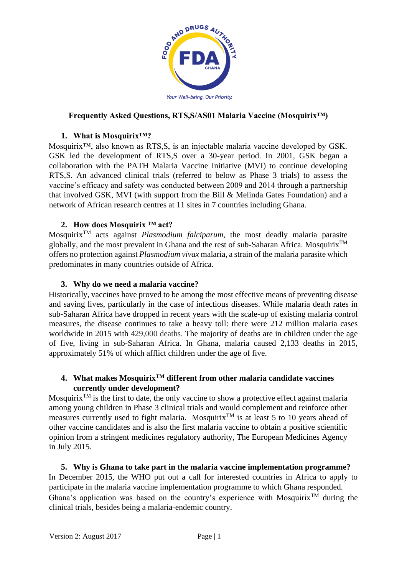

## **Frequently Asked Questions, RTS,S/AS01 Malaria Vaccine (Mosquirix™)**

#### **1. What is Mosquirix™?**

Mosquirix™, also known as RTS,S, is an injectable malaria vaccine developed by GSK. GSK led the development of RTS,S over a 30-year period. In 2001, GSK began a collaboration with the PATH Malaria Vaccine Initiative (MVI) to continue developing RTS,S. An advanced clinical trials (referred to below as Phase 3 trials) to assess the vaccine's efficacy and safety was conducted between 2009 and 2014 through a partnership that involved GSK, MVI (with support from the Bill & Melinda Gates Foundation) and a network of African research centres at 11 sites in 7 countries including Ghana.

### **2. How does Mosquirix ™ act?**

MosquirixTM acts against *Plasmodium falciparum*, the most deadly malaria parasite globally, and the most prevalent in Ghana and the rest of sub-Saharan Africa. Mosquirix<sup>TM</sup> offers no protection against *Plasmodium vivax* malaria, a strain of the malaria parasite which predominates in many countries outside of Africa.

#### **3. Why do we need a malaria vaccine?**

Historically, vaccines have proved to be among the most effective means of preventing disease and saving lives, particularly in the case of infectious diseases. While malaria death rates in sub-Saharan Africa have dropped in recent years with the scale-up of existing malaria control measures, the disease continues to take a heavy toll: there were 212 million malaria cases worldwide in 2015 with 429,000 deaths. The majority of deaths are in children under the age of five, living in sub-Saharan Africa. In Ghana, malaria caused 2,133 deaths in 2015, approximately 51% of which afflict children under the age of five.

## **4. What makes MosquirixTM different from other malaria candidate vaccines currently under development?**

Mosquirix<sup>TM</sup> is the first to date, the only vaccine to show a protective effect against malaria among young children in Phase 3 clinical trials and would complement and reinforce other measures currently used to fight malaria. Mosquirix<sup>TM</sup> is at least 5 to 10 years ahead of other vaccine candidates and is also the first malaria vaccine to obtain a positive scientific opinion from a stringent medicines regulatory authority, The European Medicines Agency in July 2015.

**5. Why is Ghana to take part in the malaria vaccine implementation programme?**  In December 2015, the WHO put out a call for interested countries in Africa to apply to participate in the malaria vaccine implementation programme to which Ghana responded. Ghana's application was based on the country's experience with Mosquirix<sup>TM</sup> during the clinical trials, besides being a malaria-endemic country.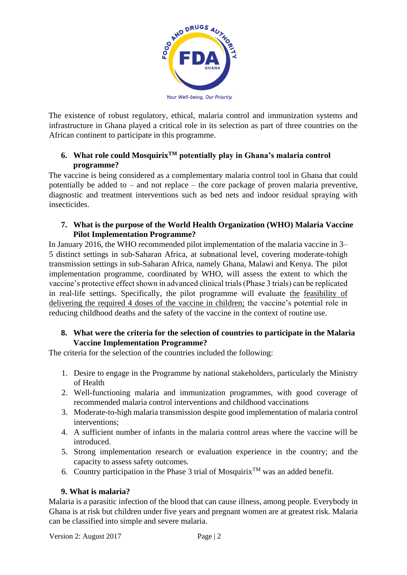

The existence of robust regulatory, ethical, malaria control and immunization systems and infrastructure in Ghana played a critical role in its selection as part of three countries on the African continent to participate in this programme.

# **6. What role could MosquirixTM potentially play in Ghana's malaria control programme?**

The vaccine is being considered as a complementary malaria control tool in Ghana that could potentially be added to – and not replace – the core package of proven malaria preventive, diagnostic and treatment interventions such as bed nets and indoor residual spraying with insecticides.

## **7. What is the purpose of the World Health Organization (WHO) Malaria Vaccine Pilot Implementation Programme?**

In January 2016, the WHO recommended pilot implementation of the malaria vaccine in 3– 5 distinct settings in sub-Saharan Africa, at subnational level, covering moderate-tohigh transmission settings in sub-Saharan Africa, namely Ghana, Malawi and Kenya. The pilot implementation programme, coordinated by WHO, will assess the extent to which the vaccine's protective effect shown in advanced clinical trials (Phase 3 trials) can be replicated in real-life settings. Specifically, the pilot programme will evaluate the feasibility of delivering the required 4 doses of the vaccine in children; the vaccine's potential role in reducing childhood deaths and the safety of the vaccine in the context of routine use.

# **8. What were the criteria for the selection of countries to participate in the Malaria Vaccine Implementation Programme?**

The criteria for the selection of the countries included the following:

- 1. Desire to engage in the Programme by national stakeholders, particularly the Ministry of Health
- 2. Well-functioning malaria and immunization programmes, with good coverage of recommended malaria control interventions and childhood vaccinations
- 3. Moderate-to-high malaria transmission despite good implementation of malaria control interventions;
- 4. A sufficient number of infants in the malaria control areas where the vaccine will be introduced.
- 5. Strong implementation research or evaluation experience in the country; and the capacity to assess safety outcomes.
- 6. Country participation in the Phase 3 trial of Mosquirix<sup>TM</sup> was an added benefit.

# **9. What is malaria?**

Malaria is a parasitic infection of the blood that can cause illness, among people. Everybody in Ghana is at risk but children under five years and pregnant women are at greatest risk. Malaria can be classified into simple and severe malaria.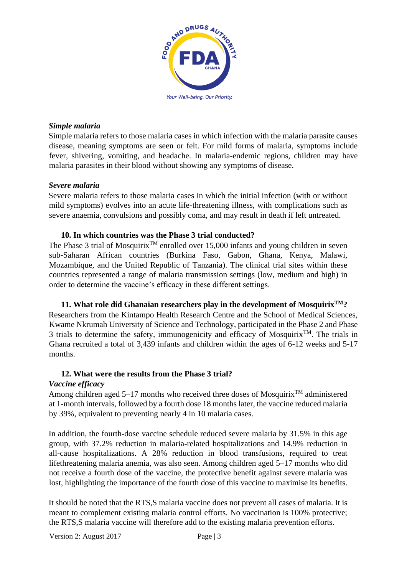

#### *Simple malaria*

Simple malaria refers to those malaria cases in which infection with the malaria parasite causes disease, meaning symptoms are seen or felt. For mild forms of malaria, symptoms include fever, shivering, vomiting, and headache. In malaria-endemic regions, children may have malaria parasites in their blood without showing any symptoms of disease.

#### *Severe malaria*

Severe malaria refers to those malaria cases in which the initial infection (with or without mild symptoms) evolves into an acute life-threatening illness, with complications such as severe anaemia, convulsions and possibly coma, and may result in death if left untreated.

#### **10. In which countries was the Phase 3 trial conducted?**

The Phase 3 trial of Mosquirix<sup>TM</sup> enrolled over 15,000 infants and young children in seven sub-Saharan African countries (Burkina Faso, Gabon, Ghana, Kenya, Malawi, Mozambique, and the United Republic of Tanzania). The clinical trial sites within these countries represented a range of malaria transmission settings (low, medium and high) in order to determine the vaccine's efficacy in these different settings.

**11. What role did Ghanaian researchers play in the development of MosquirixTM?**  Researchers from the Kintampo Health Research Centre and the School of Medical Sciences, Kwame Nkrumah University of Science and Technology, participated in the Phase 2 and Phase 3 trials to determine the safety, immunogenicity and efficacy of Mosquirix<sup>TM</sup>. The trials in Ghana recruited a total of 3,439 infants and children within the ages of 6-12 weeks and 5-17 months.

# **12. What were the results from the Phase 3 trial?**

### *Vaccine efficacy*

Among children aged 5–17 months who received three doses of Mosquirix<sup>TM</sup> administered at 1-month intervals, followed by a fourth dose 18 months later, the vaccine reduced malaria by 39%, equivalent to preventing nearly 4 in 10 malaria cases.

In addition, the fourth-dose vaccine schedule reduced severe malaria by 31.5% in this age group, with 37.2% reduction in malaria-related hospitalizations and 14.9% reduction in all-cause hospitalizations. A 28% reduction in blood transfusions, required to treat lifethreatening malaria anemia, was also seen. Among children aged 5–17 months who did not receive a fourth dose of the vaccine, the protective benefit against severe malaria was lost, highlighting the importance of the fourth dose of this vaccine to maximise its benefits.

It should be noted that the RTS,S malaria vaccine does not prevent all cases of malaria. It is meant to complement existing malaria control efforts. No vaccination is 100% protective; the RTS,S malaria vaccine will therefore add to the existing malaria prevention efforts.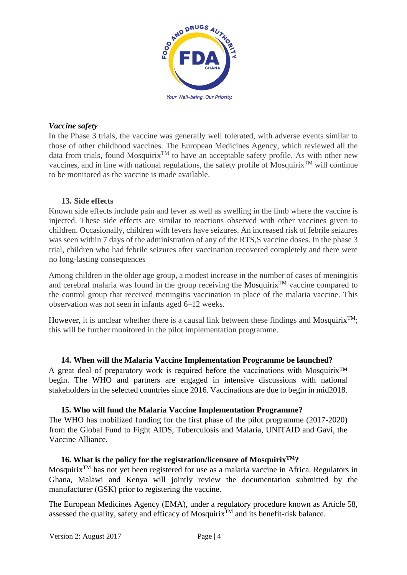

#### *Vaccine safety*

In the Phase 3 trials, the vaccine was generally well tolerated, with adverse events similar to those of other childhood vaccines. The European Medicines Agency, which reviewed all the data from trials, found Mosquirix<sup>TM</sup> to have an acceptable safety profile. As with other new vaccines, and in line with national regulations, the safety profile of Mosquirix<sup>TM</sup> will continue to be monitored as the vaccine is made available.

#### **13. Side effects**

Known side effects include pain and fever as well as swelling in the limb where the vaccine is injected. These side effects are similar to reactions observed with other vaccines given to children. Occasionally, children with fevers have seizures. An increased risk of febrile seizures was seen within 7 days of the administration of any of the RTS, S vaccine doses. In the phase 3 trial, children who had febrile seizures after vaccination recovered completely and there were no long-lasting consequences

Among children in the older age group, a modest increase in the number of cases of meningitis and cerebral malaria was found in the group receiving the Mosquirix<sup>TM</sup> vaccine compared to the control group that received meningitis vaccination in place of the malaria vaccine. This observation was not seen in infants aged 6–12 weeks.

However, it is unclear whether there is a causal link between these findings and Mosquirix<sup>TM</sup>; this will be further monitored in the pilot implementation programme.

**14. When will the Malaria Vaccine Implementation Programme be launched?**  A great deal of preparatory work is required before the vaccinations with Mosquirix<sup>™</sup>

begin. The WHO and partners are engaged in intensive discussions with national stakeholders in the selected countries since 2016. Vaccinations are due to begin in mid2018.

#### **15. Who will fund the Malaria Vaccine Implementation Programme?**

The WHO has mobilized funding for the first phase of the pilot programme (2017-2020) from the Global Fund to Fight AIDS, Tuberculosis and Malaria, UNITAID and Gavi, the Vaccine Alliance.

#### **16. What is the policy for the registration/licensure of MosquirixTM?**

Mosquirix<sup>TM</sup> has not yet been registered for use as a malaria vaccine in Africa. Regulators in Ghana, Malawi and Kenya will jointly review the documentation submitted by the manufacturer (GSK) prior to registering the vaccine.

The European Medicines Agency (EMA), under a regulatory procedure known as Article 58, assessed the quality, safety and efficacy of Mosquirix<sup>TM</sup> and its benefit-risk balance.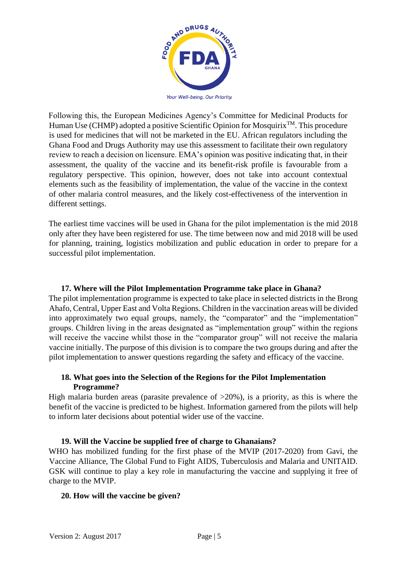

Your Well-being, Our Priority.

Following this, the European Medicines Agency's Committee for Medicinal Products for Human Use (CHMP) adopted a positive Scientific Opinion for Mosquirix<sup>TM</sup>. This procedure is used for medicines that will not be marketed in the EU. African regulators including the Ghana Food and Drugs Authority may use this assessment to facilitate their own regulatory review to reach a decision on licensure. EMA's opinion was positive indicating that, in their assessment, the quality of the vaccine and its benefit-risk profile is favourable from a regulatory perspective. This opinion, however, does not take into account contextual elements such as the feasibility of implementation, the value of the vaccine in the context of other malaria control measures, and the likely cost-effectiveness of the intervention in different settings.

The earliest time vaccines will be used in Ghana for the pilot implementation is the mid 2018 only after they have been registered for use. The time between now and mid 2018 will be used for planning, training, logistics mobilization and public education in order to prepare for a successful pilot implementation.

#### **17. Where will the Pilot Implementation Programme take place in Ghana?**

The pilot implementation programme is expected to take place in selected districts in the Brong Ahafo, Central, Upper East and Volta Regions. Children in the vaccination areas will be divided into approximately two equal groups, namely, the "comparator" and the "implementation" groups. Children living in the areas designated as "implementation group" within the regions will receive the vaccine whilst those in the "comparator group" will not receive the malaria vaccine initially. The purpose of this division is to compare the two groups during and after the pilot implementation to answer questions regarding the safety and efficacy of the vaccine.

### **18. What goes into the Selection of the Regions for the Pilot Implementation Programme?**

High malaria burden areas (parasite prevalence of  $>20\%$ ), is a priority, as this is where the benefit of the vaccine is predicted to be highest. Information garnered from the pilots will help to inform later decisions about potential wider use of the vaccine.

### **19. Will the Vaccine be supplied free of charge to Ghanaians?**

WHO has mobilized funding for the first phase of the MVIP (2017-2020) from Gavi, the Vaccine Alliance, The Global Fund to Fight AIDS, Tuberculosis and Malaria and UNITAID. GSK will continue to play a key role in manufacturing the vaccine and supplying it free of charge to the MVIP.

#### **20. How will the vaccine be given?**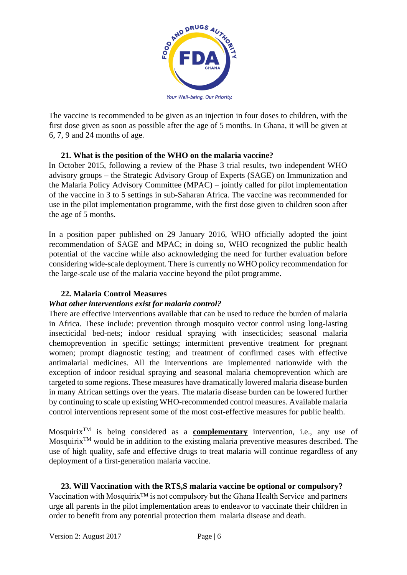

The vaccine is recommended to be given as an injection in four doses to children, with the first dose given as soon as possible after the age of 5 months. In Ghana, it will be given at 6, 7, 9 and 24 months of age.

### **21. What is the position of the WHO on the malaria vaccine?**

In October 2015, following a review of the Phase 3 trial results, two independent WHO advisory groups – the Strategic Advisory Group of Experts (SAGE) on Immunization and the Malaria Policy Advisory Committee (MPAC) – jointly called for pilot implementation of the vaccine in 3 to 5 settings in sub-Saharan Africa. The vaccine was recommended for use in the pilot implementation programme, with the first dose given to children soon after the age of 5 months.

In a position paper published on 29 January 2016, WHO officially adopted the joint recommendation of SAGE and MPAC; in doing so, WHO recognized the public health potential of the vaccine while also acknowledging the need for further evaluation before considering wide-scale deployment. There is currently no WHO policy recommendation for the large-scale use of the malaria vaccine beyond the pilot programme.

# **22. Malaria Control Measures**

### *What other interventions exist for malaria control?*

There are effective interventions available that can be used to reduce the burden of malaria in Africa. These include: prevention through mosquito vector control using long-lasting insecticidal bed-nets; indoor residual spraying with insecticides; seasonal malaria chemoprevention in specific settings; intermittent preventive treatment for pregnant women; prompt diagnostic testing; and treatment of confirmed cases with effective antimalarial medicines. All the interventions are implemented nationwide with the exception of indoor residual spraying and seasonal malaria chemoprevention which are targeted to some regions. These measures have dramatically lowered malaria disease burden in many African settings over the years. The malaria disease burden can be lowered further by continuing to scale up existing WHO-recommended control measures. Available malaria control interventions represent some of the most cost-effective measures for public health.

MosquirixTM is being considered as a **complementary** intervention, i.e., any use of Mosquirix<sup>TM</sup> would be in addition to the existing malaria preventive measures described. The use of high quality, safe and effective drugs to treat malaria will continue regardless of any deployment of a first-generation malaria vaccine.

**23. Will Vaccination with the RTS,S malaria vaccine be optional or compulsory?**  Vaccination with Mosquirix™ is not compulsory but the Ghana Health Service and partners urge all parents in the pilot implementation areas to endeavor to vaccinate their children in order to benefit from any potential protection them malaria disease and death.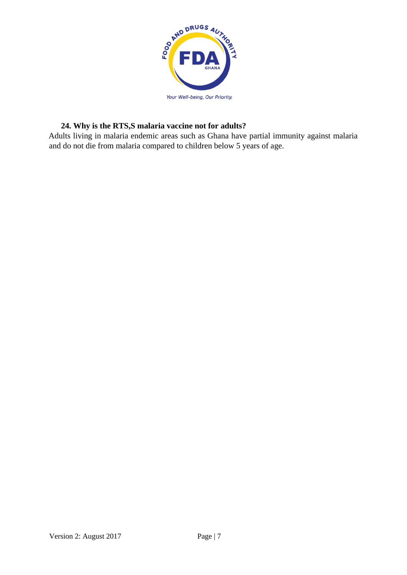

# **24. Why is the RTS,S malaria vaccine not for adults?**

Adults living in malaria endemic areas such as Ghana have partial immunity against malaria and do not die from malaria compared to children below 5 years of age.